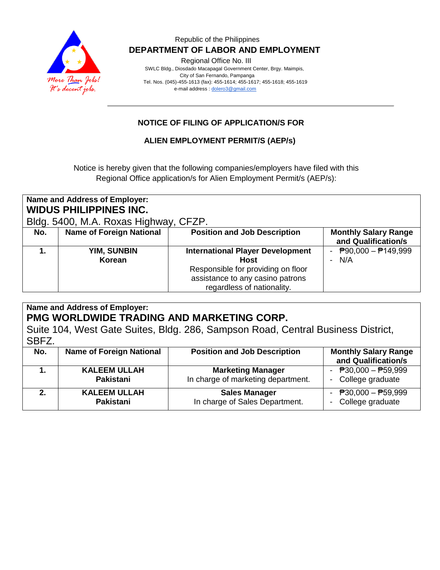

## Republic of the Philippines  **DEPARTMENT OF LABOR AND EMPLOYMENT**

Regional Office No. III

 SWLC Bldg., Diosdado Macapagal Government Center, Brgy. Maimpis, City of San Fernando, Pampanga Tel. Nos. (045)-455-1613 (fax): 455-1614; 455-1617; 455-1618; 455-1619 e-mail address [: dolero3@gmail.com](mailto:dolero3@gmail.com)

# **NOTICE OF FILING OF APPLICATION/S FOR**

## **ALIEN EMPLOYMENT PERMIT/S (AEP/s)**

Notice is hereby given that the following companies/employers have filed with this Regional Office application/s for Alien Employment Permit/s (AEP/s):

| Name and Address of Employer:<br><b>WIDUS PHILIPPINES INC.</b><br>Bldg. 5400, M.A. Roxas Highway, CFZP. |                                 |                                                                                                                                                                |                                                    |
|---------------------------------------------------------------------------------------------------------|---------------------------------|----------------------------------------------------------------------------------------------------------------------------------------------------------------|----------------------------------------------------|
| No.                                                                                                     | <b>Name of Foreign National</b> | <b>Position and Job Description</b>                                                                                                                            | <b>Monthly Salary Range</b><br>and Qualification/s |
|                                                                                                         | <b>YIM, SUNBIN</b><br>Korean    | <b>International Player Development</b><br><b>Host</b><br>Responsible for providing on floor<br>assistance to any casino patrons<br>regardless of nationality. | $\overline{P}90,000 - \overline{P}149,999$<br>N/A  |

#### **Name and Address of Employer: PMG WORLDWIDE TRADING AND MARKETING CORP.** Suite 104, West Gate Suites, Bldg. 286, Sampson Road, Central Business District, SBFZ. **No.** | Name of Foreign National | Position and Job Description | Monthly Salary Range **and Qualification/s 1. KALEEM ULLAH Pakistani Marketing Manager** In charge of marketing department.  $\overline{P}30.000 - \overline{P}59.999$ - College graduate **2. KALEEM ULLAH Pakistani Sales Manager** In charge of Sales Department.  $\overline{P}30,000 - \overline{P}59,999$ - College graduate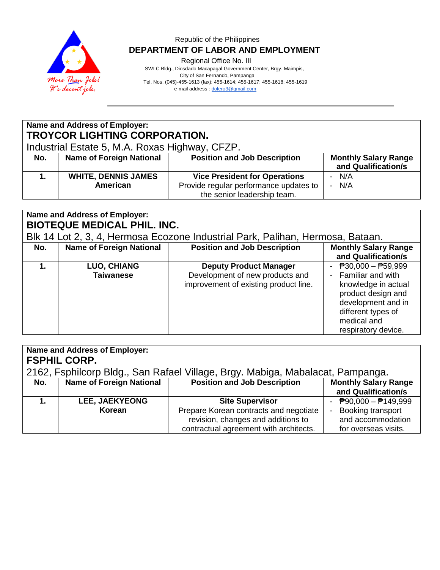

## Republic of the Philippines  **DEPARTMENT OF LABOR AND EMPLOYMENT**

Regional Office No. III

 SWLC Bldg., Diosdado Macapagal Government Center, Brgy. Maimpis, City of San Fernando, Pampanga Tel. Nos. (045)-455-1613 (fax): 455-1614; 455-1617; 455-1618; 455-1619 e-mail address [: dolero3@gmail.com](mailto:dolero3@gmail.com)

# **Name and Address of Employer: TROYCOR LIGHTING CORPORATION.**

Industrial Estate 5, M.A. Roxas Highway, CFZP.

| No. | <b>Name of Foreign National</b> | <b>Position and Job Description</b>    | <b>Monthly Salary Range</b><br>and Qualification/s |
|-----|---------------------------------|----------------------------------------|----------------------------------------------------|
|     | <b>WHITE, DENNIS JAMES</b>      | <b>Vice President for Operations</b>   | N/A<br>-                                           |
|     | American                        | Provide regular performance updates to | N/A<br>Ξ.                                          |
|     |                                 | the senior leadership team.            |                                                    |

# **Name and Address of Employer: BIOTEQUE MEDICAL PHIL. INC.**

Blk 14 Lot 2, 3, 4, Hermosa Ecozone Industrial Park, Palihan, Hermosa, Bataan.

| No. | <b>Name of Foreign National</b>        | <b>Position and Job Description</b>                                                                       | <b>Monthly Salary Range</b><br>and Qualification/s                                                                                                                          |
|-----|----------------------------------------|-----------------------------------------------------------------------------------------------------------|-----------------------------------------------------------------------------------------------------------------------------------------------------------------------------|
|     | <b>LUO, CHIANG</b><br><b>Taiwanese</b> | <b>Deputy Product Manager</b><br>Development of new products and<br>improvement of existing product line. | - $P30,000 - P59,999$<br>- Familiar and with<br>knowledge in actual<br>product design and<br>development and in<br>different types of<br>medical and<br>respiratory device. |

| Name and Address of Employer:<br><b>FSPHIL CORP.</b><br>2162, Fsphilcorp Bldg., San Rafael Village, Brgy. Mabiga, Mabalacat, Pampanga. |                                 |                                        |                                            |
|----------------------------------------------------------------------------------------------------------------------------------------|---------------------------------|----------------------------------------|--------------------------------------------|
| No.                                                                                                                                    | <b>Name of Foreign National</b> | <b>Position and Job Description</b>    | <b>Monthly Salary Range</b>                |
|                                                                                                                                        |                                 |                                        | and Qualification/s                        |
|                                                                                                                                        | <b>LEE, JAEKYEONG</b>           | <b>Site Supervisor</b>                 | $\overline{P}90,000 - \overline{P}149,999$ |
|                                                                                                                                        | Korean                          | Prepare Korean contracts and negotiate | Booking transport                          |
|                                                                                                                                        |                                 | revision, changes and additions to     | and accommodation                          |
|                                                                                                                                        |                                 | contractual agreement with architects. | for overseas visits.                       |